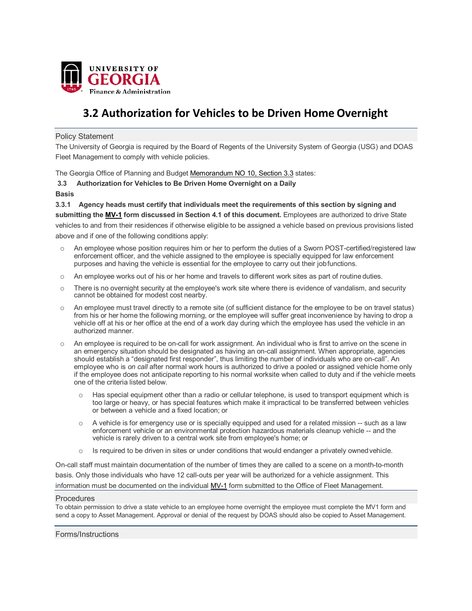

## **3.2 Authorization for Vehicles to be Driven Home Overnight**

Policy Statement

The University of Georgia is required by the Board of Regents of the University System of Georgia (USG) and DOAS Fleet Management to comply with vehicle policies.

The Georgia Office of Planning and Budge[t Memorandum NO 10, Section 3.3](http://opb.georgia.gov/sites/opb.georgia.gov/files/imported/vgn/images/portal/cit_1210/3/58/163225711motor%20vehicle%20policy%20%28fy05%29.doc) states:

- **3.3 Authorization for Vehicles to Be Driven Home Overnight on a Daily**
- **Basis**

**3.3.1 Agency heads must certify that individuals meet the requirements of this section by signing and submitting the [MV-1 f](http://doas.ga.gov/StateLocal/Fleet/Docs_Fleet_VehicleOptions/MV1Form.doc)orm discussed in Section 4.1 of this document.** Employees are authorized to drive State vehicles to and from their residences if otherwise eligible to be assigned a vehicle based on previous provisions listed above and if one of the following conditions apply:

- o An employee whose position requires him or her to perform the duties of a Sworn POST-certified/registered law enforcement officer, and the vehicle assigned to the employee is specially equipped for law enforcement purposes and having the vehicle is essential for the employee to carry out their jobfunctions.
- o An employee works out of his or her home and travels to different work sites as part of routine duties.
- o There is no overnight security at the employee's work site where there is evidence of vandalism, and security cannot be obtained for modest cost nearby.
- o An employee must travel directly to a remote site (of sufficient distance for the employee to be on travel status) from his or her home the following morning, or the employee will suffer great inconvenience by having to drop a vehicle off at his or her office at the end of a work day during which the employee has used the vehicle in an authorized manner.
- o An employee is required to be on-call for work assignment. An individual who is first to arrive on the scene in an emergency situation should be designated as having an on-call assignment. When appropriate, agencies should establish a "designated first responder", thus limiting the number of individuals who are on-call". An employee who is *on call* after normal work hours is authorized to drive a pooled or assigned vehicle home only if the employee does not anticipate reporting to his normal worksite when called to duty and if the vehicle meets one of the criteria listed below.
	- $\circ$  Has special equipment other than a radio or cellular telephone, is used to transport equipment which is too large or heavy, or has special features which make it impractical to be transferred between vehicles or between a vehicle and a fixed location; or
	- $\circ$  A vehicle is for emergency use or is specially equipped and used for a related mission -- such as a law enforcement vehicle or an environmental protection hazardous materials cleanup vehicle -- and the vehicle is rarely driven to a central work site from employee's home; or
	- $\circ$  Is required to be driven in sites or under conditions that would endanger a privately owned vehicle.

On-call staff must maintain documentation of the number of times they are called to a scene on a month-to-month basis. Only those individuals who have 12 call-outs per year will be authorized for a vehicle assignment. This information must be documented on the individual [MV-1 f](http://doas.ga.gov/StateLocal/Fleet/Docs_Fleet_VehicleOptions/MV1Form.doc)orm submitted to the Office of Fleet Management.

## Procedures

To obtain permission to drive a state vehicle to an employee home overnight the employee must complete the MV1 form and send a copy to Asset Management. Approval or denial of the request by DOAS should also be copied to Asset Management.

Forms/Instructions